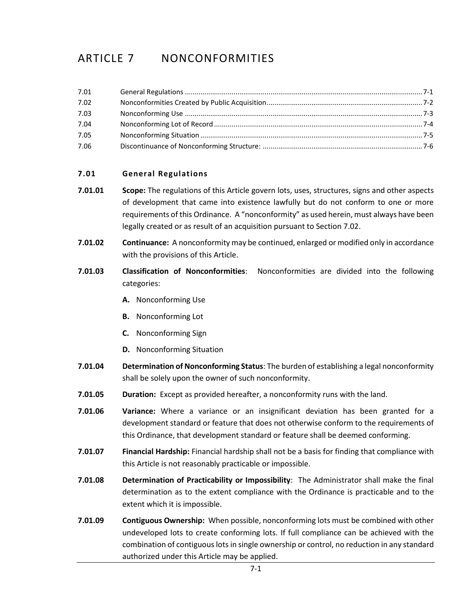# ARTICLE 7 NONCONFORMITIES

| 7.01 |  |
|------|--|
| 7.02 |  |
| 7.03 |  |
| 7.04 |  |
| 7.05 |  |
| 7.06 |  |

# <span id="page-0-0"></span>**7.01 General Regulations**

- **7.01.01 Scope:** The regulations of this Article govern lots, uses, [structures,](http://www.zoningplus.com/regs/greensboro/codetext.aspx?mode=2&xRef=1&index=513) [signs](http://www.zoningplus.com/regs/greensboro/codetext.aspx?mode=2&xRef=1&index=797) and other aspects of [development](http://www.zoningplus.com/regs/greensboro/codetext.aspx?mode=2&xRef=1&index=547) that came into existence lawfully but do not conform to one or more requirements of this Ordinance. A "nonconformity" as used herein, must always have been legally created or as result of an acquisition pursuant to Section 7.02.
- **7.01.02 Continuance:** A nonconformity may be continued, enlarged or modified only in accordance with the provisions of this Article.
- **7.01.03 Classification of Nonconformities**: Nonconformities are divided into the following categories:
	- **A.** Nonconforming Use
	- **B.** Nonconforming Lot
	- **C.** Nonconforming Sign
	- **D.** Nonconforming Situation
- **7.01.04 Determination of Nonconforming Status**: The burden of establishing a legal nonconformity shall be solely upon the owner of such nonconformity.
- **7.01.05 Duration:** Except as provided hereafter, a nonconformity runs with the land.
- **7.01.06 Variance:** Where a variance or an insignificant deviation has been granted for a development standard or feature that does not otherwise conform to the requirements of this Ordinance, that development standard or feature shall be deemed conforming.
- **7.01.07 Financial Hardship:** Financial hardship shall not be a basis for finding that compliance with this Article is not reasonably practicable or impossible.
- **7.01.08 Determination of Practicability or Impossibility**: The Administrator shall make the final determination as to the extent compliance with the Ordinance is practicable and to the extent which it is impossible.
- **7.01.09 Contiguous Ownership:** When possible, nonconforming lots must be combined with other undeveloped lots to create conforming lots. If full compliance can be achieved with the combination of contiguous lots in single ownership or control, no reduction in any standard authorized under this Article may be applied.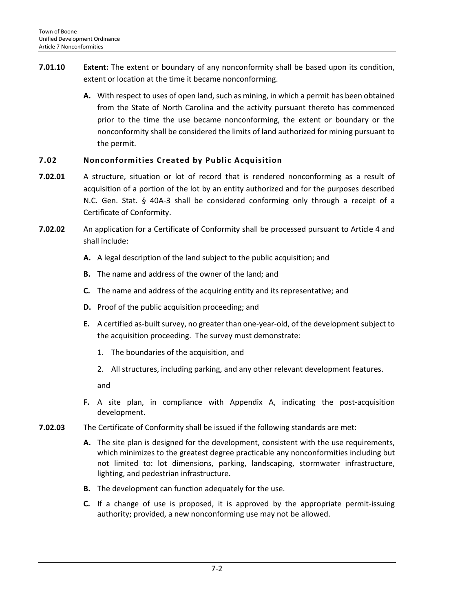- **7.01.10 Extent:** The extent or boundary of any nonconformity shall be based upon its condition, extent or location at the time it became nonconforming.
	- **A.** With respect to uses of open land, such as mining, in which a permit has been obtained from the State of North Carolina and the activity pursuant thereto has commenced prior to the time the use became nonconforming, the extent or boundary or the nonconformity shall be considered the limits of land authorized for mining pursuant to the permit.

# <span id="page-1-0"></span>**7.02 Nonconformities Created by Public Acquisition**

- **7.02.01** A structure, situation or lot of record that is rendered nonconforming as a result of acquisition of a portion of the lot by an entity authorized and for the purposes described N.C. Gen. Stat. § 40A-3 shall be considered conforming only through a receipt of a Certificate of Conformity.
- **7.02.02** An application for a Certificate of Conformity shall be processed pursuant to Article 4 and shall include:
	- **A.** A legal description of the land subject to the public acquisition; and
	- **B.** The name and address of the owner of the land; and
	- **C.** The name and address of the acquiring entity and its representative; and
	- **D.** Proof of the public acquisition proceeding; and
	- **E.** A certified as-built survey, no greater than one-year-old, of the developmentsubject to the acquisition proceeding. The survey must demonstrate:
		- 1. The boundaries of the acquisition, and
		- 2. All structures, including parking, and any other relevant development features.

and

- **F.** A site plan, in compliance with Appendix A, indicating the post-acquisition development.
- **7.02.03** The Certificate of Conformity shall be issued if the following standards are met:
	- **A.** The site plan is designed for the development, consistent with the use requirements, which minimizes to the greatest degree practicable any nonconformities including but not limited to: lot dimensions, parking, landscaping, stormwater infrastructure, lighting, and pedestrian infrastructure.
	- **B.** The development can function adequately for the use.
	- **C.** If a change of use is proposed, it is approved by the appropriate permit-issuing authority; provided, a new nonconforming use may not be allowed.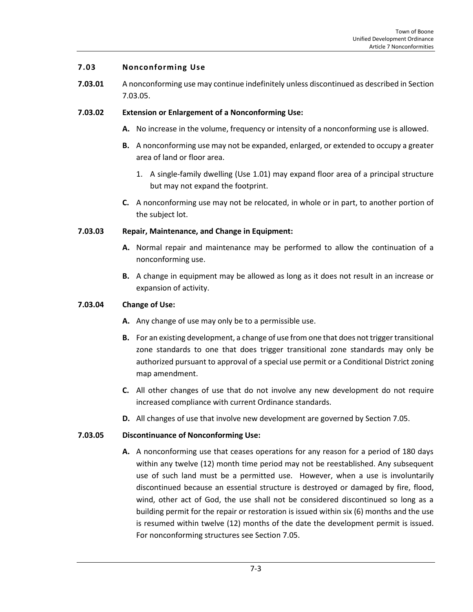## <span id="page-2-0"></span>**7.03 Nonconforming Use**

**7.03.01** A nonconforming use may continue indefinitely unless discontinued as described in Section 7.03.05.

## **7.03.02 Extension or Enlargement of a Nonconforming Use:**

- **A.** No increase in the volume, frequency or intensity of a nonconforming use is allowed.
- **B.** A nonconforming use may not be expanded, enlarged, or extended to occupy a greater area of land or floor area.
	- 1. A single-family dwelling (Use 1.01) may expand floor area of a principal structure but may not expand the footprint.
- **C.** A nonconforming use may not be relocated, in whole or in part, to another portion of the subject lot.

## **7.03.03 Repair, Maintenance, and Change in Equipment:**

- **A.** Normal repair and maintenance may be performed to allow the continuation of a nonconforming use.
- **B.** A change in equipment may be allowed as long as it does not result in an increase or expansion of activity.

## **7.03.04 Change of Use:**

- **A.** Any change of use may only be to a permissible use.
- **B.** For an existing development, a change of use from one that does not trigger transitional zone standards to one that does trigger transitional zone standards may only be authorized pursuant to approval of a special use permit or a Conditional District zoning map amendment.
- **C.** All other changes of use that do not involve any new development do not require increased compliance with current Ordinance standards.
- **D.** All changes of use that involve new development are governed by Section 7.05.

# **7.03.05 Discontinuance of Nonconforming Use:**

**A.** A nonconforming use that ceases operations for any reason for a period of 180 days within any twelve (12) month time period may not be reestablished. Any subsequent use of such land must be a permitted use. However, when a use is involuntarily discontinued because an essential structure is destroyed or damaged by fire, flood, wind, other act of God, the use shall not be considered discontinued so long as a building permit for the repair or restoration is issued within six (6) months and the use is resumed within twelve (12) months of the date the development permit is issued. For nonconforming structures see Section 7.05.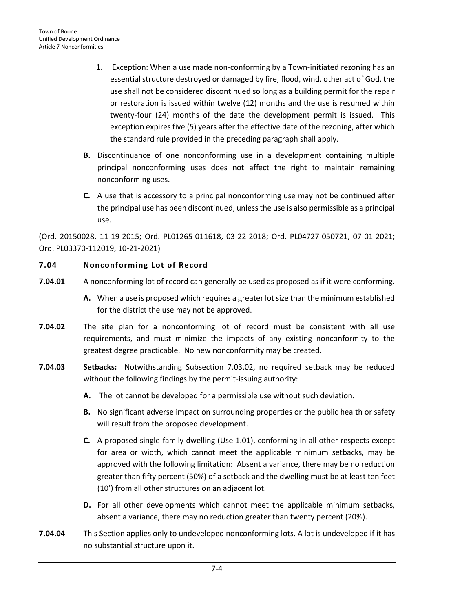- 1. Exception: When a use made non-conforming by a Town-initiated rezoning has an essential structure destroyed or damaged by fire, flood, wind, other act of God, the use shall not be considered discontinued so long as a building permit for the repair or restoration is issued within twelve (12) months and the use is resumed within twenty-four (24) months of the date the development permit is issued. This exception expires five (5) years after the effective date of the rezoning, after which the standard rule provided in the preceding paragraph shall apply.
- **B.** Discontinuance of one nonconforming use in a development containing multiple principal nonconforming uses does not affect the right to maintain remaining nonconforming uses.
- **C.** A use that is accessory to a principal nonconforming use may not be continued after the principal use has been discontinued, unless the use is also permissible as a principal use.

(Ord. 20150028, 11-19-2015; Ord. PL01265-011618, 03-22-2018; Ord. PL04727-050721, 07-01-2021; Ord. PL03370-112019, 10-21-2021)

# <span id="page-3-0"></span>**7.04 Nonconforming Lot of Record**

- **7.04.01** A nonconforming lot of record can generally be used as proposed as if it were conforming.
	- **A.** When a use is proposed which requires a greater lot size than the minimum established for the district the use may not be approved.
- **7.04.02** The site plan for a nonconforming lot of record must be consistent with all use requirements, and must minimize the impacts of any existing nonconformity to the greatest degree practicable. No new nonconformity may be created.
- **7.04.03 Setbacks:** Notwithstanding Subsection 7.03.02, no required setback may be reduced without the following findings by the permit-issuing authority:
	- **A.** The lot cannot be developed for a permissible use without such deviation.
	- **B.** No significant adverse impact on surrounding properties or the public health or safety will result from the proposed development.
	- **C.** A proposed single-family dwelling (Use 1.01), conforming in all other respects except for area or width, which cannot meet the applicable minimum setbacks, may be approved with the following limitation: Absent a variance, there may be no reduction greater than fifty percent (50%) of a setback and the dwelling must be at least ten feet (10') from all other structures on an adjacent lot.
	- **D.** For all other developments which cannot meet the applicable minimum setbacks, absent a variance, there may no reduction greater than twenty percent (20%).
- **7.04.04** This Section applies only to undeveloped nonconforming lots. A lot is undeveloped if it has no substantial structure upon it.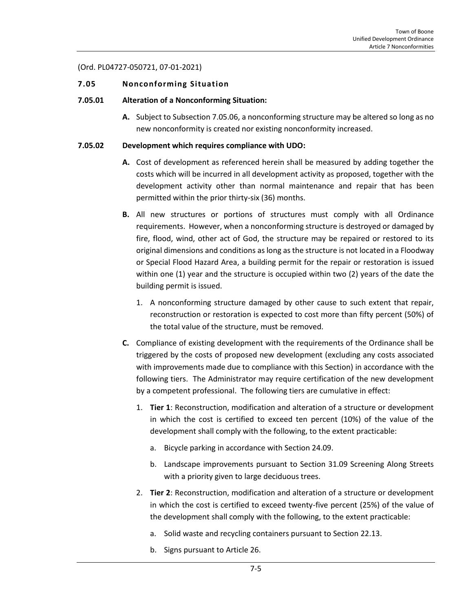### (Ord. PL04727-050721, 07-01-2021)

### <span id="page-4-0"></span>**7.05 Nonconforming Situation**

### **7.05.01 Alteration of a Nonconforming Situation:**

**A.** Subject to Subsection 7.05.06, a nonconforming structure may be altered so long as no new nonconformity is created nor existing nonconformity increased.

### **7.05.02 Development which requires compliance with UDO:**

- **A.** Cost of development as referenced herein shall be measured by adding together the costs which will be incurred in all development activity as proposed, together with the development activity other than normal maintenance and repair that has been permitted within the prior thirty-six (36) months.
- **B.** All new structures or portions of structures must comply with all Ordinance requirements. However, when a nonconforming structure is destroyed or damaged by fire, flood, wind, other act of God, the structure may be repaired or restored to its original dimensions and conditions as long as the structure is not located in a Floodway or Special Flood Hazard Area, a building permit for the repair or restoration is issued within one (1) year and the structure is occupied within two (2) years of the date the building permit is issued.
	- 1. A nonconforming structure damaged by other cause to such extent that repair, reconstruction or restoration is expected to cost more than fifty percent (50%) of the total value of the structure, must be removed.
- **C.** Compliance of existing development with the requirements of the Ordinance shall be triggered by the costs of proposed new development (excluding any costs associated with improvements made due to compliance with this Section) in accordance with the following tiers. The Administrator may require certification of the new development by a competent professional. The following tiers are cumulative in effect:
	- 1. **Tier 1**: Reconstruction, modification and alteration of a structure or development in which the cost is certified to exceed ten percent (10%) of the value of the development shall comply with the following, to the extent practicable:
		- a. Bicycle parking in accordance with Section 24.09.
		- b. Landscape improvements pursuant to Section 31.09 Screening Along Streets with a priority given to large deciduous trees.
	- 2. **Tier 2**: Reconstruction, modification and alteration of a structure or development in which the cost is certified to exceed twenty-five percent (25%) of the value of the development shall comply with the following, to the extent practicable:
		- a. Solid waste and recycling containers pursuant to Section 22.13.
		- b. Signs pursuant to Article 26.